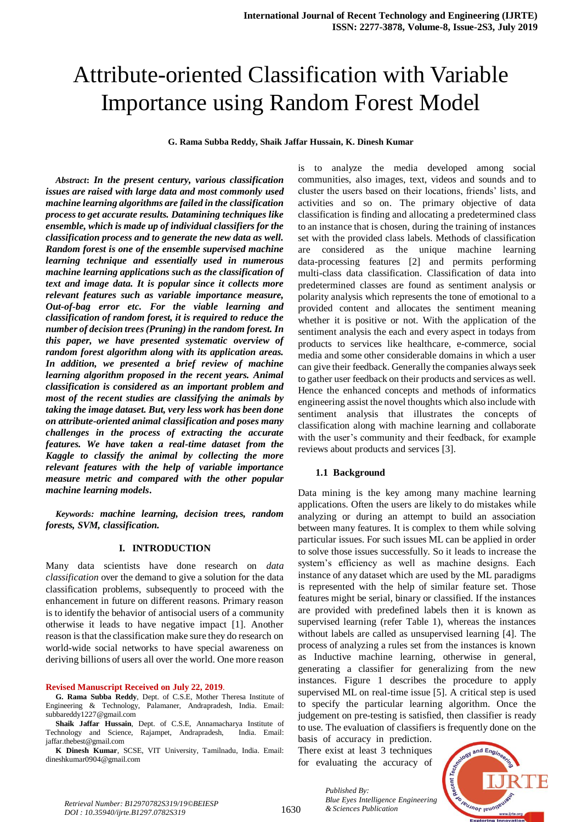# Attribute-oriented Classification with Variable Importance using Random Forest Model

**G. Rama Subba Reddy, Shaik Jaffar Hussain, K. Dinesh Kumar**

*Abstract***:** *In the present century, various classification issues are raised with large data and most commonly used machine learning algorithms are failed in the classification process to get accurate results. Datamining techniques like ensemble, which is made up of individual classifiers for the classification process and to generate the new data as well. Random forest is one of the ensemble supervised machine learning technique and essentially used in numerous machine learning applications such as the classification of text and image data. It is popular since it collects more relevant features such as variable importance measure, Out-of-bag error etc. For the viable learning and classification of random forest, it is required to reduce the number of decision trees (Pruning) in the random forest. In this paper, we have presented systematic overview of random forest algorithm along with its application areas. In addition, we presented a brief review of machine learning algorithm proposed in the recent years. Animal classification is considered as an important problem and most of the recent studies are classifying the animals by taking the image dataset. But, very less work has been done on attribute-oriented animal classification and poses many challenges in the process of extracting the accurate features. We have taken a real-time dataset from the Kaggle to classify the animal by collecting the more relevant features with the help of variable importance measure metric and compared with the other popular machine learning models***.**

*Keywords: machine learning, decision trees, random forests, SVM, classification.*

# **I. INTRODUCTION**

Many data scientists have done research on *data classification* over the demand to give a solution for the data classification problems, subsequently to proceed with the enhancement in future on different reasons. Primary reason is to identify the behavior of antisocial users of a community otherwise it leads to have negative impact [1]. Another reason is that the classification make sure they do research on world-wide social networks to have special awareness on deriving billions of users all over the world. One more reason

#### **Revised Manuscript Received on July 22, 2019**.

**G. Rama Subba Reddy**, Dept. of C.S.E, Mother Theresa Institute of Engineering & Technology, Palamaner, Andrapradesh, India. Email: subbareddy1227@gmail.com

**Shaik Jaffar Hussain**, Dept. of C.S.E, Annamacharya Institute of Technology and Science, Rajampet, Andrapradesh, India. Email: jaffar.thebest@gmail.com

**K Dinesh Kumar**, SCSE, VIT University, Tamilnadu, India. Email: dineshkumar0904@gmail.com

is to analyze the media developed among social communities, also images, text, videos and sounds and to cluster the users based on their locations, friends' lists, and activities and so on. The primary objective of data classification is finding and allocating a predetermined class to an instance that is chosen, during the training of instances set with the provided class labels. Methods of classification are considered as the unique machine learning data-processing features [2] and permits performing multi-class data classification. Classification of data into predetermined classes are found as sentiment analysis or polarity analysis which represents the tone of emotional to a provided content and allocates the sentiment meaning whether it is positive or not. With the application of the sentiment analysis the each and every aspect in todays from products to services like healthcare, e-commerce, social media and some other considerable domains in which a user can give their feedback. Generally the companies always seek to gather user feedback on their products and services as well. Hence the enhanced concepts and methods of informatics engineering assist the novel thoughts which also include with sentiment analysis that illustrates the concepts of classification along with machine learning and collaborate with the user's community and their feedback, for example reviews about products and services [3].

### **1.1 Background**

Data mining is the key among many machine learning applications. Often the users are likely to do mistakes while analyzing or during an attempt to build an association between many features. It is complex to them while solving particular issues. For such issues ML can be applied in order to solve those issues successfully. So it leads to increase the system's efficiency as well as machine designs. Each instance of any dataset which are used by the ML paradigms is represented with the help of similar feature set. Those features might be serial, binary or classified. If the instances are provided with predefined labels then it is known as supervised learning (refer Table 1), whereas the instances without labels are called as unsupervised learning [4]. The process of analyzing a rules set from the instances is known as Inductive machine learning, otherwise in general, generating a classifier for generalizing from the new instances. Figure 1 describes the procedure to apply supervised ML on real-time issue [5]. A critical step is used to specify the particular learning algorithm. Once the judgement on pre-testing is satisfied, then classifier is ready to use. The evaluation of classifiers is frequently done on the

basis of accuracy in prediction. There exist at least 3 techniques for evaluating the accuracy of

*Published By:*



*Blue Eyes Intelligence*<br>*Retrieval Number: B12970782S319/19©BEIESP*<br>1630 *& Sciences Publication DOI : 10.35940/ijrte.B1297.0782S319*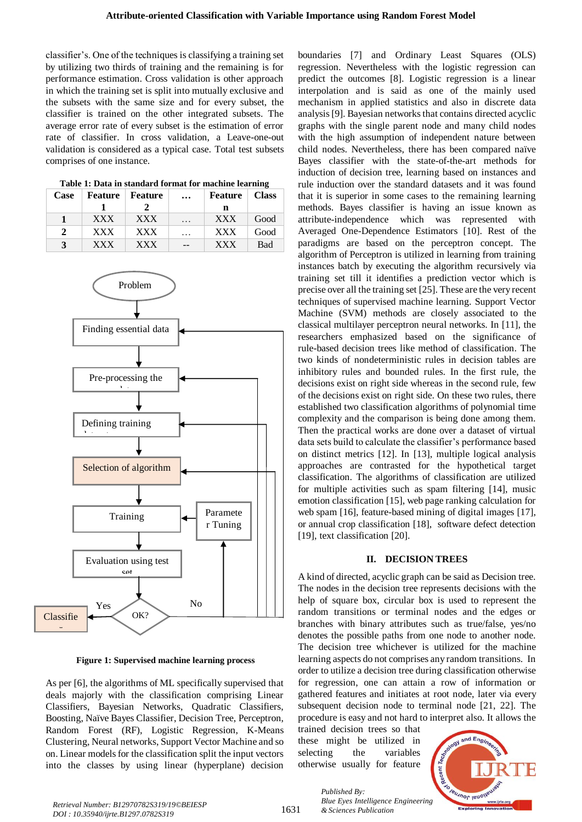classifier's. One of the techniques is classifying a training set by utilizing two thirds of training and the remaining is for performance estimation. Cross validation is other approach in which the training set is split into mutually exclusive and the subsets with the same size and for every subset, the classifier is trained on the other integrated subsets. The average error rate of every subset is the estimation of error rate of classifier. In cross validation, a Leave-one-out validation is considered as a typical case. Total test subsets comprises of one instance.

 **Table 1: Data in standard format for machine learning**

| <b>Case</b>   | <b>Feature</b>   <b>Feature</b> |            | $\cdots$ | <b>Feature</b>   Class |            |
|---------------|---------------------------------|------------|----------|------------------------|------------|
|               |                                 |            |          | n                      |            |
|               | <b>XXX</b>                      | <b>XXX</b> | .        | <b>XXX</b>             | Good       |
| $\mathcal{L}$ | <b>XXX</b>                      | <b>XXX</b> | $\cdots$ | <b>XXX</b>             | Good       |
| $\mathbf{z}$  | <b>XXX</b>                      | <b>XXX</b> |          | <b>XXX</b>             | <b>Bad</b> |



 **Figure 1: Supervised machine learning process**

As per [6], the algorithms of ML specifically supervised that deals majorly with the classification comprising Linear Classifiers, Bayesian Networks, Quadratic Classifiers, Boosting, Naïve Bayes Classifier, Decision Tree, Perceptron, Random Forest (RF), Logistic Regression, K-Means Clustering, Neural networks, Support Vector Machine and so on. Linear models for the classification split the input vectors into the classes by using linear (hyperplane) decision

boundaries [7] and Ordinary Least Squares (OLS) regression. Nevertheless with the logistic regression can predict the outcomes [8]. Logistic regression is a linear interpolation and is said as one of the mainly used mechanism in applied statistics and also in discrete data analysis [9]. Bayesian networks that contains directed acyclic graphs with the single parent node and many child nodes with the high assumption of independent nature between child nodes. Nevertheless, there has been compared naïve Bayes classifier with the state-of-the-art methods for induction of decision tree, learning based on instances and rule induction over the standard datasets and it was found that it is superior in some cases to the remaining learning methods. Bayes classifier is having an issue known as attribute-independence which was represented with Averaged One-Dependence Estimators [10]. Rest of the paradigms are based on the perceptron concept. The algorithm of Perceptron is utilized in learning from training instances batch by executing the algorithm recursively via training set till it identifies a prediction vector which is precise over all the training set [25]. These are the very recent techniques of supervised machine learning. Support Vector Machine (SVM) methods are closely associated to the classical multilayer perceptron neural networks. In [11], the researchers emphasized based on the significance of rule-based decision trees like method of classification. The two kinds of nondeterministic rules in decision tables are inhibitory rules and bounded rules. In the first rule, the decisions exist on right side whereas in the second rule, few of the decisions exist on right side. On these two rules, there established two classification algorithms of polynomial time complexity and the comparison is being done among them. Then the practical works are done over a dataset of virtual data sets build to calculate the classifier's performance based on distinct metrics [12]. In [13], multiple logical analysis approaches are contrasted for the hypothetical target classification. The algorithms of classification are utilized for multiple activities such as spam filtering [14], music emotion classification [15], web page ranking calculation for web spam [16], feature-based mining of digital images [17], or annual crop classification [18], software defect detection [19], text classification [20].

## **II. DECISION TREES**

A kind of directed, acyclic graph can be said as Decision tree. The nodes in the decision tree represents decisions with the help of square box, circular box is used to represent the random transitions or terminal nodes and the edges or branches with binary attributes such as true/false, yes/no denotes the possible paths from one node to another node. The decision tree whichever is utilized for the machine learning aspects do not comprises any random transitions. In order to utilize a decision tree during classification otherwise for regression, one can attain a row of information or gathered features and initiates at root node, later via every subsequent decision node to terminal node [21, 22]. The procedure is easy and not hard to interpret also. It allows the

trained decision trees so that these might be utilized in selecting the variables otherwise usually for feature

*& Sciences Publication* 

*Published By:*



*Retrieval Number: B12970782S319/19©BEIESP DOI : 10.35940/ijrte.B1297.0782S319*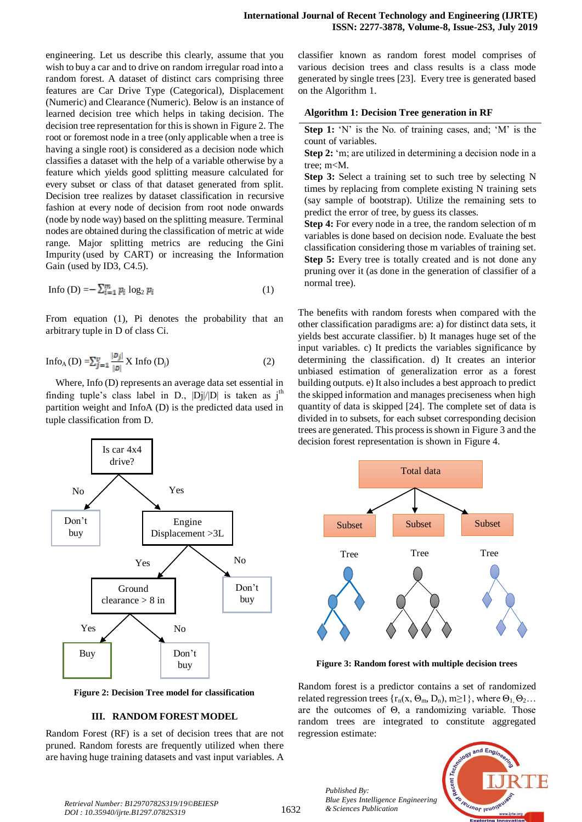engineering. Let us describe this clearly, assume that you wish to buy a car and to drive on random irregular road into a random forest. A dataset of distinct cars comprising three features are Car Drive Type (Categorical), Displacement (Numeric) and Clearance (Numeric). Below is an instance of learned decision tree which helps in taking decision. The decision tree representation for this is shown in Figure 2. The root or foremost node in a tree (only applicable when a tree is having a single root) is considered as a decision node which classifies a dataset with the help of a variable otherwise by a feature which yields good splitting measure calculated for every subset or class of that dataset generated from split. Decision tree realizes by dataset classification in recursive fashion at every node of decision from root node onwards (node by node way) based on the splitting measure. Terminal nodes are obtained during the classification of metric at wide range. Major splitting metrics are reducing the [Gini](https://en.wikipedia.org/wiki/Decision_tree_learning?source=post_page---------------------------#Gini_impurity)  [Impurity](https://en.wikipedia.org/wiki/Decision_tree_learning?source=post_page---------------------------#Gini_impurity) (used by CART) or increasing the [Information](https://en.wikipedia.org/wiki/Decision_tree_learning?source=post_page---------------------------#Information_gain)  [Gain](https://en.wikipedia.org/wiki/Decision_tree_learning?source=post_page---------------------------#Information_gain) (used by ID3, C4.5).

$$
\text{Info (D)} = -\sum_{i=1}^{m} p_i \log_2 p_i \tag{1}
$$

From equation (1), Pi denotes the probability that an arbitrary tuple in D of class Ci.

$$
\text{Info}_{A}(D) = \sum_{j=1}^{v} \frac{|D_j|}{|D|} X \text{ Info}(D_j)
$$
 (2)

Where, Info (D) represents an average data set essential in finding tuple's class label in D.,  $|Dj|/|D|$  is taken as j<sup>th</sup> partition weight and InfoA (D) is the predicted data used in tuple classification from D.



**Figure 2: Decision Tree model for classification**

## **III. RANDOM FOREST MODEL**

Random Forest (RF) is a set of decision trees that are not pruned. Random forests are frequently utilized when there are having huge training datasets and vast input variables. A classifier known as random forest model comprises of various decision trees and class results is a class mode generated by single trees [23]. Every tree is generated based on the Algorithm 1.

### **Algorithm 1: Decision Tree generation in RF**

**Step 1:** 'N' is the No. of training cases, and; 'M' is the count of variables.

**Step 2:** 'm; are utilized in determining a decision node in a tree; m<M.

**Step 3:** Select a training set to such tree by selecting N times by replacing from complete existing N training sets (say sample of bootstrap). Utilize the remaining sets to predict the error of tree, by guess its classes.

**Step 4:** For every node in a tree, the random selection of m variables is done based on decision node. Evaluate the best classification considering those m variables of training set. **Step 5:** Every tree is totally created and is not done any pruning over it (as done in the generation of classifier of a normal tree).

The benefits with random forests when compared with the other classification paradigms are: a) for distinct data sets, it yields best accurate classifier. b) It manages huge set of the input variables. c) It predicts the variables significance by determining the classification. d) It creates an interior unbiased estimation of generalization error as a forest building outputs. e) It also includes a best approach to predict the skipped information and manages preciseness when high quantity of data is skipped [24]. The complete set of data is divided in to subsets, for each subset corresponding decision trees are generated. This process is shown in Figure 3 and the decision forest representation is shown in Figure 4.



**Figure 3: Random forest with multiple decision trees**

Random forest is a predictor contains a set of randomized related regression trees  $\{r_n(x, \Theta_m, D_n), m \ge 1\}$ , where  $\Theta_1, \Theta_2...$ are the outcomes of Θ, a randomizing variable. Those random trees are integrated to constitute aggregated regression estimate:



*Published By:*

*Blue Eyes Intelligence Engineering*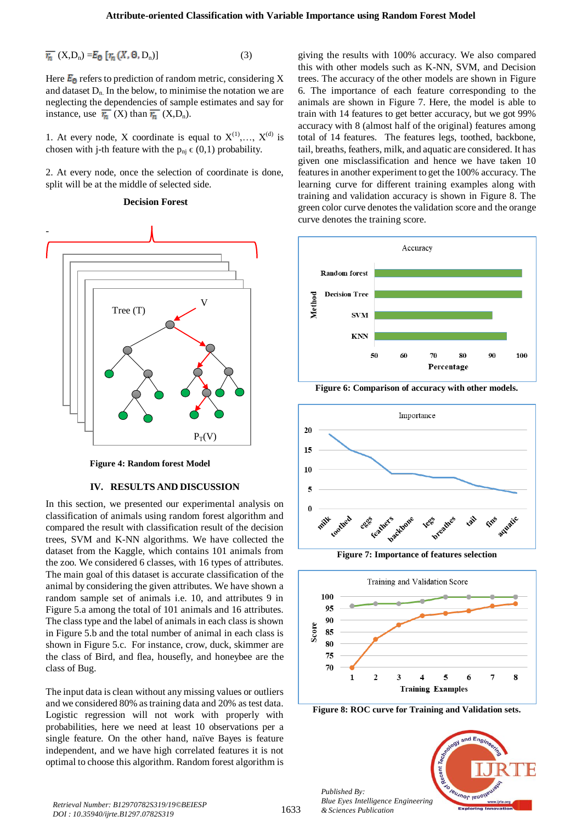$$
\overline{r_n} (X, D_n) = E_0 [r_n (X, \Theta, D_n)] \tag{3}
$$

Here  $E_0$  refers to prediction of random metric, considering X and dataset  $D_n$ . In the below, to minimise the notation we are neglecting the dependencies of sample estimates and say for instance, use  $\overline{r_n}(X)$  than  $\overline{r_n}(X,D_n)$ .

1. At every node, X coordinate is equal to  $X^{(1)},..., X^{(d)}$  is chosen with j-th feature with the  $p_{ni} \in (0,1)$  probability.

2. At every node, once the selection of coordinate is done, split will be at the middle of selected side.

## **Decision Forest**



 **Figure 4: Random forest Model**

### **IV. RESULTS AND DISCUSSION**

In this section, we presented our experimental analysis on classification of animals using random forest algorithm and compared the result with classification result of the decision trees, SVM and K-NN algorithms. We have collected the dataset from the Kaggle, which contains 101 animals from the zoo. We considered 6 classes, with 16 types of attributes. The main goal of this dataset is accurate classification of the animal by considering the given attributes. We have shown a random sample set of animals i.e. 10, and attributes 9 in Figure 5.a among the total of 101 animals and 16 attributes. The class type and the label of animals in each class is shown in Figure 5.b and the total number of animal in each class is shown in Figure 5.c. For instance, crow, duck, skimmer are the class of Bird, and flea, housefly, and honeybee are the class of Bug.

The input data is clean without any missing values or outliers and we considered 80% as training data and 20% as test data. Logistic regression will not work with properly with probabilities, here we need at least 10 observations per a single feature. On the other hand, naïve Bayes is feature independent, and we have high correlated features it is not optimal to choose this algorithm. Random forest algorithm is giving the results with 100% accuracy. We also compared this with other models such as K-NN, SVM, and Decision trees. The accuracy of the other models are shown in Figure 6. The importance of each feature corresponding to the animals are shown in Figure 7. Here, the model is able to train with 14 features to get better accuracy, but we got 99% accuracy with 8 (almost half of the original) features among total of 14 features. The features legs, toothed, backbone, tail, breaths, feathers, milk, and aquatic are considered. It has given one misclassification and hence we have taken 10 features in another experiment to get the 100% accuracy. The learning curve for different training examples along with training and validation accuracy is shown in Figure 8. The green color curve denotes the validation score and the orange curve denotes the training score.





**Figure 7: Importance of features selection** 



**Figure 8: ROC curve for Training and Validation sets.**

*Published By: Blue Eyes Intelligence Engineering & Sciences Publication* 



*Retrieval Number: B12970782S319/19©BEIESP DOI : 10.35940/ijrte.B1297.0782S319*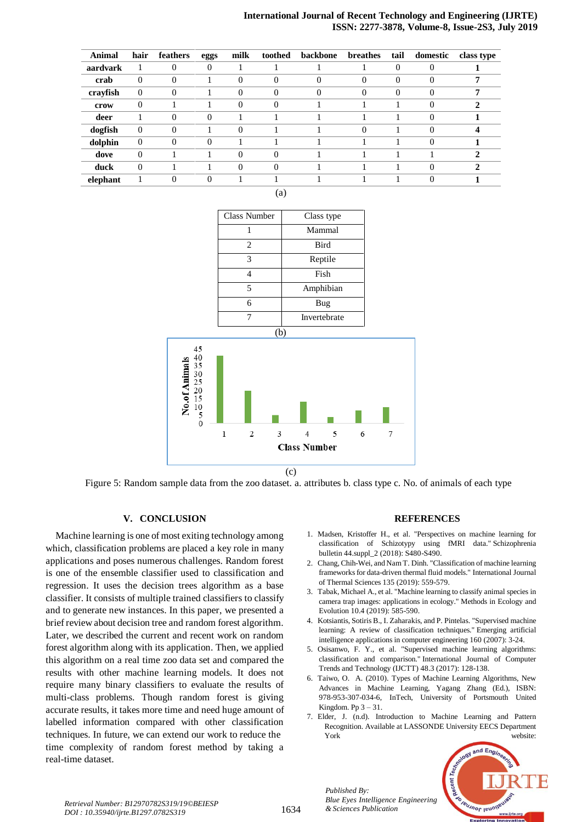# **International Journal of Recent Technology and Engineering (IJRTE) ISSN: 2277-3878, Volume-8, Issue-2S3, July 2019**

| Animal   | hair         | feathers | eggs     | milk     | toothed  | backbone | breathes | tail     | domestic | class type |
|----------|--------------|----------|----------|----------|----------|----------|----------|----------|----------|------------|
| aardvark |              | $\Omega$ | $\Omega$ |          |          |          |          | $\Omega$ | $\Omega$ |            |
| crab     | $\theta$     | $\theta$ |          | $\theta$ | $\theta$ | $\Omega$ | $\theta$ | $\theta$ | $\theta$ | 7          |
| crayfish | $\theta$     | $\Omega$ |          | $\Omega$ | $\Omega$ | $\Omega$ | $\Omega$ | $\Omega$ | $\Omega$ |            |
| crow     | $\theta$     |          |          | $\Omega$ | $\theta$ |          |          |          | $\Omega$ | 2          |
| deer     |              | $\Omega$ | $\Omega$ |          |          |          |          |          | $\Omega$ |            |
| dogfish  | $\mathbf{0}$ | $\Omega$ |          | $\Omega$ |          |          | $\Omega$ |          | $\Omega$ |            |
| dolphin  | $\theta$     | $\Omega$ | $\Omega$ |          |          |          |          |          | $\Omega$ |            |
| dove     | $\theta$     |          |          | $\Omega$ | $\Omega$ |          |          |          |          | 2          |
| duck     | $\Omega$     |          |          | $\Omega$ | $\Omega$ |          |          |          | $\Omega$ | י          |
| elephant |              | 0        |          |          |          |          |          |          |          |            |



Figure 5: Random sample data from the zoo dataset. a. attributes b. class type c. No. of animals of each type

# **V. CONCLUSION**

Machine learning is one of most exiting technology among which, classification problems are placed a key role in many applications and poses numerous challenges. Random forest is one of the ensemble classifier used to classification and regression. It uses the decision trees algorithm as a base classifier. It consists of multiple trained classifiers to classify and to generate new instances. In this paper, we presented a brief review about decision tree and random forest algorithm. Later, we described the current and recent work on random forest algorithm along with its application. Then, we applied this algorithm on a real time zoo data set and compared the results with other machine learning models. It does not require many binary classifiers to evaluate the results of multi-class problems. Though random forest is giving accurate results, it takes more time and need huge amount of labelled information compared with other classification techniques. In future, we can extend our work to reduce the time complexity of random forest method by taking a real-time dataset.

#### **REFERENCES**

- 1. Madsen, Kristoffer H., et al. "Perspectives on machine learning for classification of Schizotypy using fMRI data." Schizophrenia bulletin 44.suppl\_2 (2018): S480-S490.
- 2. Chang, Chih-Wei, and Nam T. Dinh. "Classification of machine learning frameworks for data-driven thermal fluid models." International Journal of Thermal Sciences 135 (2019): 559-579.
- 3. Tabak, Michael A., et al. "Machine learning to classify animal species in camera trap images: applications in ecology." Methods in Ecology and Evolution 10.4 (2019): 585-590.
- 4. Kotsiantis, Sotiris B., I. Zaharakis, and P. Pintelas. "Supervised machine learning: A review of classification techniques." Emerging artificial intelligence applications in computer engineering 160 (2007): 3-24.
- 5. Osisanwo, F. Y., et al. "Supervised machine learning algorithms: classification and comparison." International Journal of Computer Trends and Technology (IJCTT) 48.3 (2017): 128-138.
- 6. Taiwo, O. A. (2010). Types of Machine Learning Algorithms, New Advances in Machine Learning, Yagang Zhang (Ed.), ISBN: 978-953-307-034-6, InTech, University of Portsmouth United Kingdom. Pp  $3 - 31$ .
- 7. Elder, J. (n.d). Introduction to Machine Learning and Pattern Recognition. Available at LASSONDE University EECS Department York website:



*& Sciences Publication Retrieval Number: B12970782S319/19©BEIESP DOI : 10.35940/ijrte.B1297.0782S319*

*Published By: Blue Eyes Intelligence Engineering*